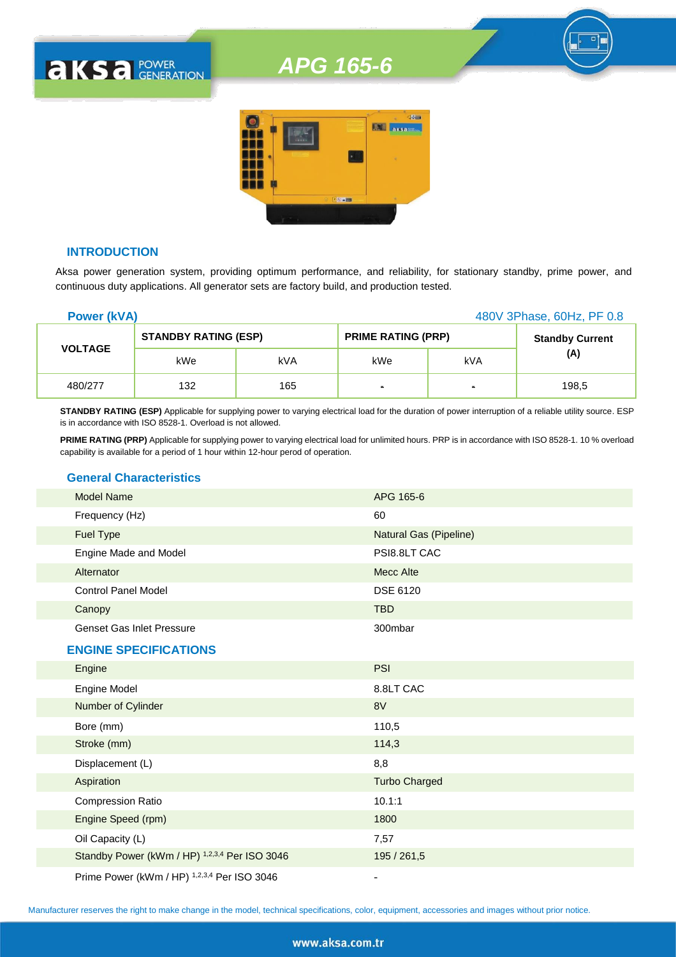

#### **INTRODUCTION**

**AKSA POWER** 

Aksa power generation system, providing optimum performance, and reliability, for stationary standby, prime power, and continuous duty applications. All generator sets are factory build, and production tested.

| 480V 3Phase, 60Hz, PF 0.8<br><b>Power (kVA)</b> |                             |     |                           |        |                        |
|-------------------------------------------------|-----------------------------|-----|---------------------------|--------|------------------------|
| <b>VOLTAGE</b>                                  | <b>STANDBY RATING (ESP)</b> |     | <b>PRIME RATING (PRP)</b> |        | <b>Standby Current</b> |
|                                                 | kWe                         | kVA | kWe                       | kVA    | (A)                    |
| 480/277                                         | 132                         | 165 | ٠                         | $\sim$ | 198,5                  |

**STANDBY RATING (ESP)** Applicable for supplying power to varying electrical load for the duration of power interruption of a reliable utility source. ESP is in accordance with ISO 8528-1. Overload is not allowed.

**PRIME RATING (PRP)** Applicable for supplying power to varying electrical load for unlimited hours. PRP is in accordance with ISO 8528-1. 10 % overload capability is available for a period of 1 hour within 12-hour perod of operation.

#### **General Characteristics**

| <b>Model Name</b>                | APG 165-6              |
|----------------------------------|------------------------|
| Frequency (Hz)                   | 60                     |
| <b>Fuel Type</b>                 | Natural Gas (Pipeline) |
| Engine Made and Model            | PSI8.8LT CAC           |
| Alternator                       | Mecc Alte              |
| <b>Control Panel Model</b>       | <b>DSE 6120</b>        |
| Canopy                           | <b>TBD</b>             |
| <b>Genset Gas Inlet Pressure</b> | 300mbar                |
| <b>ENGINE SPECIFICATIONS</b>     |                        |
| Engine                           | <b>PSI</b>             |
| Engine Model                     | 8.8LT CAC              |
| Number of Cylinder               | 8V                     |
| Bore (mm)                        | 110,5                  |
| Stroke (mm)                      | 114,3                  |
| Displacement (L)                 | 8,8                    |

| Aspiration                                    | <b>Turbo Charged</b> |
|-----------------------------------------------|----------------------|
| <b>Compression Ratio</b>                      | 10.1:1               |
| Engine Speed (rpm)                            | 1800                 |
| Oil Capacity (L)                              | 7,57                 |
| Standby Power (kWm / HP) 1,2,3,4 Per ISO 3046 | 195 / 261,5          |
|                                               |                      |

Prime Power (kWm / HP) <sup>1,2,3,4</sup> Per ISO 3046

Manufacturer reserves the right to make change in the model, technical specifications, color, equipment, accessories and images without prior notice.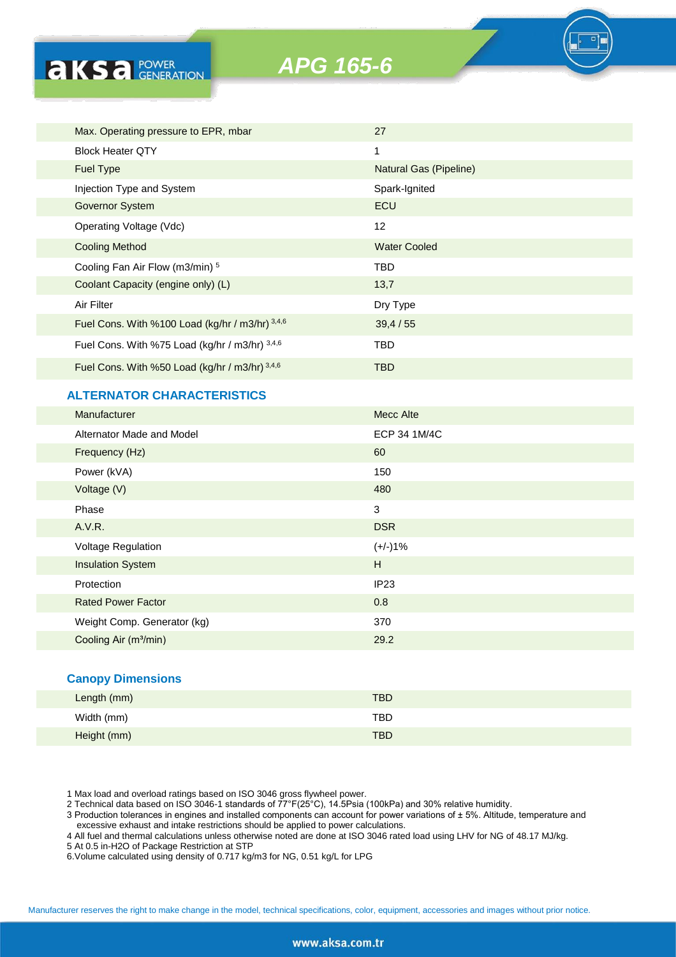

| Max. Operating pressure to EPR, mbar            | 27                            |
|-------------------------------------------------|-------------------------------|
| <b>Block Heater QTY</b>                         | 1                             |
| <b>Fuel Type</b>                                | <b>Natural Gas (Pipeline)</b> |
| Injection Type and System                       | Spark-Ignited                 |
| Governor System                                 | ECU                           |
| Operating Voltage (Vdc)                         | 12                            |
| <b>Cooling Method</b>                           | <b>Water Cooled</b>           |
| Cooling Fan Air Flow (m3/min) 5                 | TBD                           |
| Coolant Capacity (engine only) (L)              | 13,7                          |
| Air Filter                                      | Dry Type                      |
| Fuel Cons. With %100 Load (kg/hr / m3/hr) 3,4,6 | 39,4/55                       |
| Fuel Cons. With %75 Load (kg/hr / m3/hr) 3,4,6  | TBD                           |
| Fuel Cons. With %50 Load (kg/hr / m3/hr) 3,4,6  | TBD                           |

#### **ALTERNATOR CHARACTERISTICS**

**AKSA POWER** 

| Manufacturer                      | <b>Mecc Alte</b> |
|-----------------------------------|------------------|
| Alternator Made and Model         | ECP 34 1M/4C     |
| Frequency (Hz)                    | 60               |
| Power (kVA)                       | 150              |
| Voltage (V)                       | 480              |
| Phase                             | $\sqrt{3}$       |
| A.V.R.                            | <b>DSR</b>       |
| <b>Voltage Regulation</b>         | $(+/-)1%$        |
| <b>Insulation System</b>          | H                |
| Protection                        | IP <sub>23</sub> |
| <b>Rated Power Factor</b>         | 0.8              |
| Weight Comp. Generator (kg)       | 370              |
| Cooling Air (m <sup>3</sup> /min) | 29.2             |

#### **Canopy Dimensions**

| Length (mm) | <b>TBD</b> |  |
|-------------|------------|--|
| Width (mm)  | TBD        |  |
| Height (mm) | <b>TBD</b> |  |

1 Max load and overload ratings based on ISO 3046 gross flywheel power.

2 Technical data based on ISO 3046-1 standards of 77°F(25°C), 14.5Psia (100kPa) and 30% relative humidity.

3 Production tolerances in engines and installed components can account for power variations of ± 5%. Altitude, temperature and excessive exhaust and intake restrictions should be applied to power calculations.

4 All fuel and thermal calculations unless otherwise noted are done at ISO 3046 rated load using LHV for NG of 48.17 MJ/kg.

5 At 0.5 in-H2O of Package Restriction at STP

6.Volume calculated using density of 0.717 kg/m3 for NG, 0.51 kg/L for LPG

Manufacturer reserves the right to make change in the model, technical specifications, color, equipment, accessories and images without prior notice.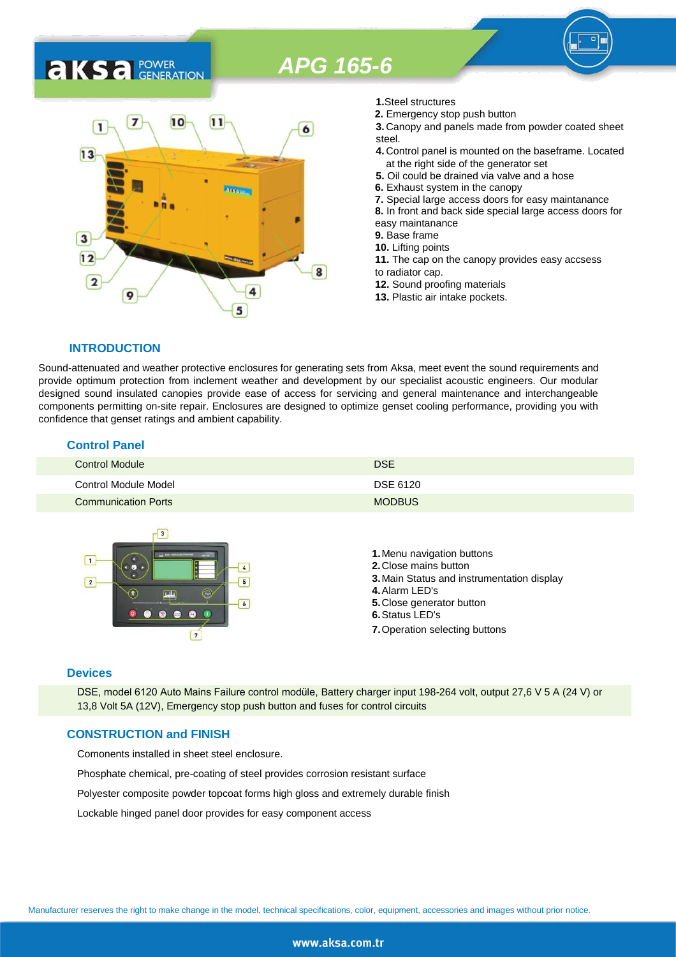### 7  $10$  $11$ 1 6  $13$ 3  $12$ 8  $\overline{2}$ 9 5

- **1.**Steel structures
- **2.** Emergency stop push button
- **3.** Canopy and panels made from powder coated sheet steel.
- **4.** Control panel is mounted on the baseframe. Located at the right side of the generator set
- **5.** Oil could be drained via valve and a hose
- **6.** Exhaust system in the canopy
- **7.** Special large access doors for easy maintanance
- **8.** In front and back side special large access doors for
- easy maintanance
- **9.** Base frame
- **10.** Lifting points
- **11.** The cap on the canopy provides easy accsess to radiator cap.
- **12.** Sound proofing materials
- **13.** Plastic air intake pockets.

#### **INTRODUCTION**

**AKS** *C C <b>C GENERATION* 

Sound-attenuated and weather protective enclosures for generating sets from Aksa, meet event the sound requirements and provide optimum protection from inclement weather and development by our specialist acoustic engineers. Our modular designed sound insulated canopies provide ease of access for servicing and general maintenance and interchangeable components permitting on-site repair. Enclosures are designed to optimize genset cooling performance, providing you with confidence that genset ratings and ambient capability.

#### **Control Panel**

| <b>Control Module</b>      | <b>DSE</b>    |
|----------------------------|---------------|
| Control Module Model       | DSE 6120      |
| <b>Communication Ports</b> | <b>MODBUS</b> |



#### **Devices**

DSE, model 6120 Auto Mains Failure control modüle, Battery charger input 198-264 volt, output 27,6 V 5 A (24 V) or 13,8 Volt 5A (12V), Emergency stop push button and fuses for control circuits

#### **CONSTRUCTION and FINISH**

Comonents installed in sheet steel enclosure.

Phosphate chemical, pre-coating of steel provides corrosion resistant surface

Polyester composite powder topcoat forms high gloss and extremely durable finish

Lockable hinged panel door provides for easy component access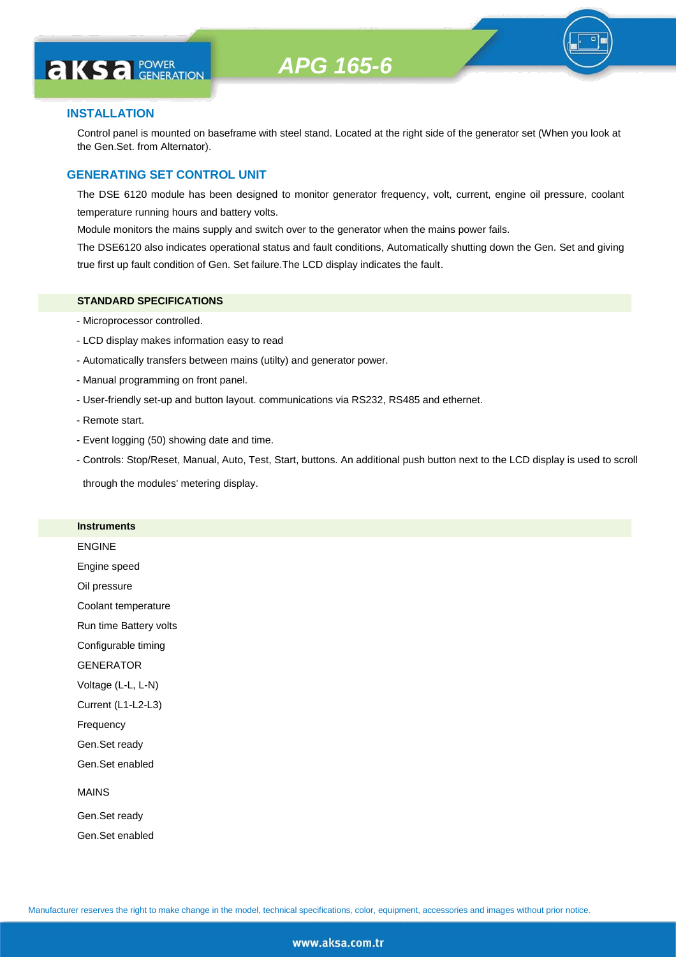# **AKS** *C C <b>C GENERATION*

#### **INSTALLATION**

Control panel is mounted on baseframe with steel stand. Located at the right side of the generator set (When you look at the Gen.Set. from Alternator).

#### **GENERATING SET CONTROL UNIT**

The DSE 6120 module has been designed to monitor generator frequency, volt, current, engine oil pressure, coolant temperature running hours and battery volts.

Module monitors the mains supply and switch over to the generator when the mains power fails.

The DSE6120 also indicates operational status and fault conditions, Automatically shutting down the Gen. Set and giving true first up fault condition of Gen. Set failure.The LCD display indicates the fault.

#### **STANDARD SPECIFICATIONS**

- Microprocessor controlled.
- LCD display makes information easy to read
- Automatically transfers between mains (utilty) and generator power.
- Manual programming on front panel.
- User-friendly set-up and button layout. communications via RS232, RS485 and ethernet.
- Remote start.
- Event logging (50) showing date and time.
- Controls: Stop/Reset, Manual, Auto, Test, Start, buttons. An additional push button next to the LCD display is used to scroll

through the modules' metering display.

#### **Instruments**

ENGINE Engine speed Oil pressure Coolant temperature Run time Battery volts Configurable timing **GENERATOR** Voltage (L-L, L-N) Current (L1-L2-L3) Frequency Gen.Set ready Gen.Set enabled MAINS Gen.Set ready

Gen.Set enabled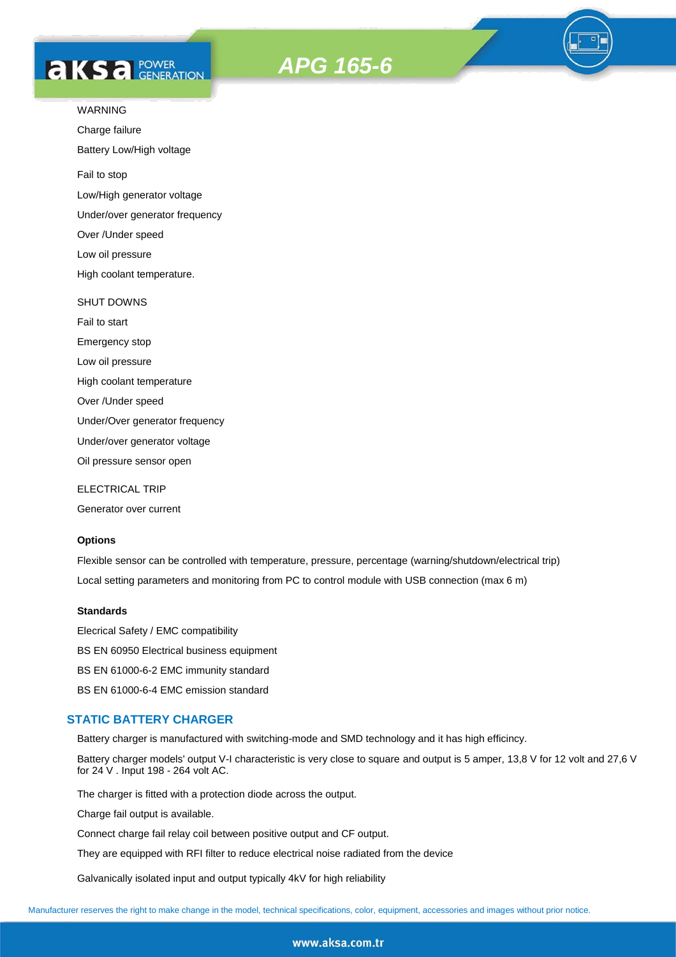# **AKS** *C C <b>C GENERATION*





Charge failure

Battery Low/High voltage

Fail to stop

Low/High generator voltage

Under/over generator frequency

Over /Under speed

Low oil pressure

High coolant temperature.

#### SHUT DOWNS

Fail to start Emergency stop Low oil pressure High coolant temperature Over /Under speed Under/Over generator frequency Under/over generator voltage

Oil pressure sensor open

ELECTRICAL TRIP

Generator over current

#### **Options**

Flexible sensor can be controlled with temperature, pressure, percentage (warning/shutdown/electrical trip) Local setting parameters and monitoring from PC to control module with USB connection (max 6 m)

#### **Standards**

Elecrical Safety / EMC compatibility BS EN 60950 Electrical business equipment BS EN 61000-6-2 EMC immunity standard BS EN 61000-6-4 EMC emission standard

#### **STATIC BATTERY CHARGER**

Battery charger is manufactured with switching-mode and SMD technology and it has high efficincy.

Battery charger models' output V-I characteristic is very close to square and output is 5 amper, 13,8 V for 12 volt and 27,6 V for 24 V . Input 198 - 264 volt AC.

The charger is fitted with a protection diode across the output.

Charge fail output is available.

Connect charge fail relay coil between positive output and CF output.

They are equipped with RFI filter to reduce electrical noise radiated from the device

Galvanically isolated input and output typically 4kV for high reliability